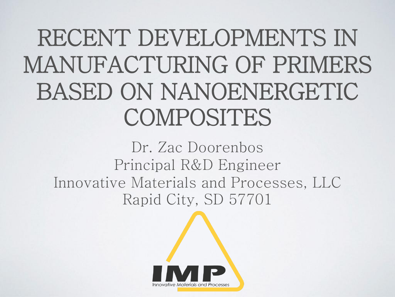#### RECENT DEVELOPMENTS IN MANUFACTURING OF PRIMERS BASED ON NANOENERGETIC COMPOSITES

Dr. Zac Doorenbos Principal R&D Engineer Innovative Materials and Processes, LLC Rapid City, SD 57701

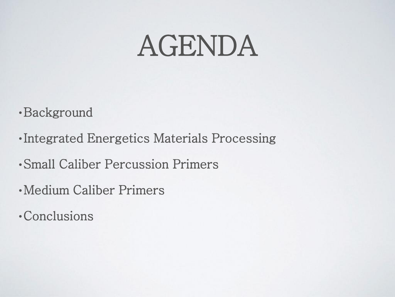#### AGENDA

•Background

- •Integrated Energetics Materials Processing
- •Small Caliber Percussion Primers
- •Medium Caliber Primers
- •Conclusions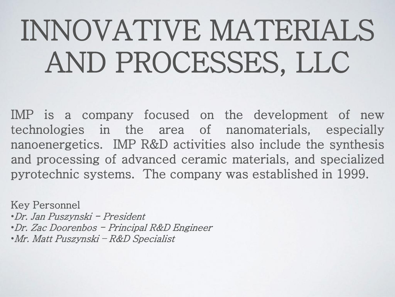# INNOVATIVE MATERIALS AND PROCESSES, LLC

IMP is a company focused on the development of new technologies in the area of nanomaterials, especially nanoenergetics. IMP R&D activities also include the synthesis and processing of advanced ceramic materials, and specialized pyrotechnic systems. The company was established in 1999.

Key Personnel •Dr. Jan Puszynski - President •Dr. Zac Doorenbos - Principal R&D Engineer •Mr. Matt Puszynski – R&D Specialist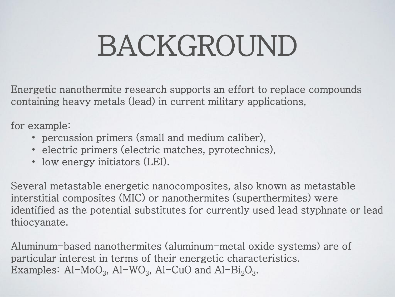Energetic nanothermite research supports an effort to replace compounds containing heavy metals (lead) in current military applications,

for example:

- percussion primers (small and medium caliber),
- electric primers (electric matches, pyrotechnics),
- low energy initiators (LEI).

Several metastable energetic nanocomposites, also known as metastable interstitial composites (MIC) or nanothermites (superthermites) were identified as the potential substitutes for currently used lead styphnate or lead thiocyanate.

Aluminum-based nanothermites (aluminum-metal oxide systems) are of particular interest in terms of their energetic characteristics. Examples:  $Al-MoO_3$ ,  $Al-WO_3$ ,  $Al-CuO$  and  $Al-Bi_2O_3$ .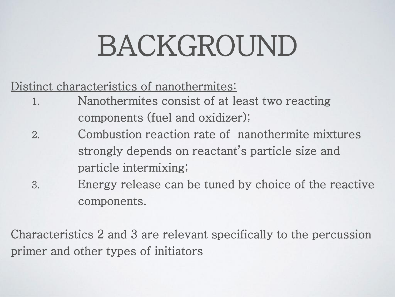#### Distinct characteristics of nanothermites:

- 1. Nanothermites consist of at least two reacting components (fuel and oxidizer);
- 2. Combustion reaction rate of nanothermite mixtures strongly depends on reactant's particle size and particle intermixing;
- 3. Energy release can be tuned by choice of the reactive components.

Characteristics 2 and 3 are relevant specifically to the percussion primer and other types of initiators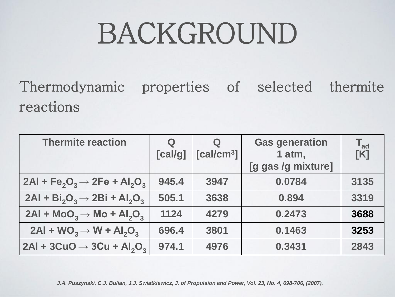Thermodynamic properties of selected thermite reactions

| <b>Thermite reaction</b>              | $\mathbf Q$<br>[cal/g] | $\bf Q$<br>[cal/cm <sup>3</sup> ] | <b>Gas generation</b><br>1 atm,<br>[g gas /g mixture] | $T_{ad}$<br>[K] |
|---------------------------------------|------------------------|-----------------------------------|-------------------------------------------------------|-----------------|
| $2Al + Fe2O3 \rightarrow 2Fe + Al2O3$ | 945.4                  | 3947                              | 0.0784                                                | 3135            |
| $2AI + Bi2O3 \rightarrow 2Bi + Al2O3$ | 505.1                  | 3638                              | 0.894                                                 | 3319            |
| $2AI + MOO3 \rightarrow MO + Al2O3$   | 1124                   | 4279                              | 0.2473                                                | 3688            |
| $2AI + WO3 \rightarrow W + Al2O3$     | 696.4                  | 3801                              | 0.1463                                                | 3253            |
| $2Al + 3CuO \rightarrow 3Cu + Al2O3$  | 974.1                  | 4976                              | 0.3431                                                | 2843            |

*J.A. Puszynski, C.J. Bulian, J.J. Swiatkiewicz, J. of Propulsion and Power, Vol. 23, No. 4, 698-706, (2007).*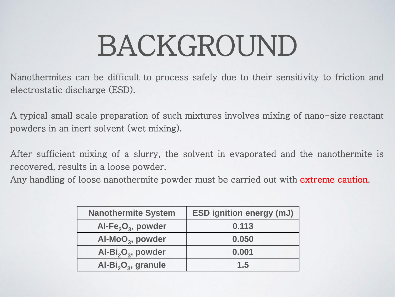Nanothermites can be difficult to process safely due to their sensitivity to friction and electrostatic discharge (ESD).

A typical small scale preparation of such mixtures involves mixing of nano-size reactant powders in an inert solvent (wet mixing).

After sufficient mixing of a slurry, the solvent in evaporated and the nanothermite is recovered, results in a loose powder.

Any handling of loose nanothermite powder must be carried out with extreme caution.

| <b>Nanothermite System</b>                  | <b>ESD ignition energy (mJ)</b> |  |
|---------------------------------------------|---------------------------------|--|
| Al-Fe <sub>2</sub> O <sub>3</sub> , powder  | 0.113                           |  |
| Al-MoO <sub>3</sub> , powder                | 0.050                           |  |
| Al-Bi <sub>2</sub> O <sub>3</sub> , powder  | 0.001                           |  |
| Al-Bi <sub>2</sub> O <sub>3</sub> , granule | 1.5                             |  |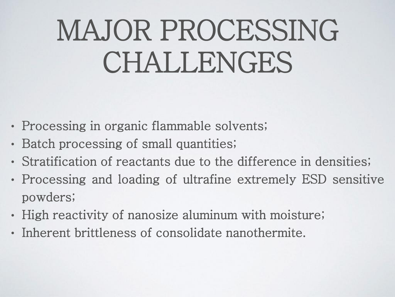## MAJOR PROCESSING CHALLENGES

- Processing in organic flammable solvents;
- Batch processing of small quantities;
- Stratification of reactants due to the difference in densities;
- Processing and loading of ultrafine extremely ESD sensitive powders;
- High reactivity of nanosize aluminum with moisture;
- Inherent brittleness of consolidate nanothermite.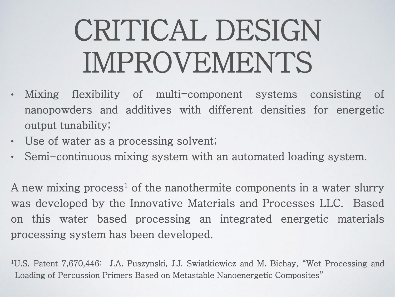# CRITICAL DESIGN IMPROVEMENTS

- Mixing flexibility of multi-component systems consisting of nanopowders and additives with different densities for energetic output tunability;
- Use of water as a processing solvent;
- Semi-continuous mixing system with an automated loading system.

A new mixing process<sup>1</sup> of the nanothermite components in a water slurry was developed by the Innovative Materials and Processes LLC. Based on this water based processing an integrated energetic materials processing system has been developed.

<sup>1</sup>U.S. Patent 7,670,446: J.A. Puszynski, J.J. Swiatkiewicz and M. Bichay, "Wet Processing and Loading of Percussion Primers Based on Metastable Nanoenergetic Composites"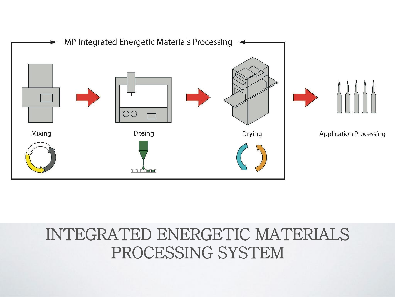

#### INTEGRATED ENERGETIC MATERIALS PROCESSING SYSTEM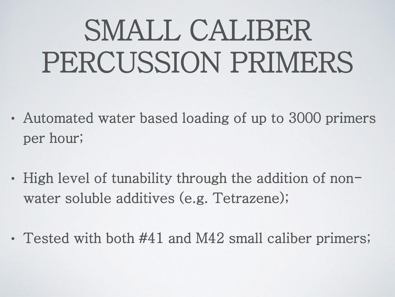## SMALL CALIBER PERCUSSION PRIMERS

- Automated water based loading of up to 3000 primers per hour;
- High level of tunability through the addition of nonwater soluble additives (e.g. Tetrazene);
- Tested with both #41 and M42 small caliber primers;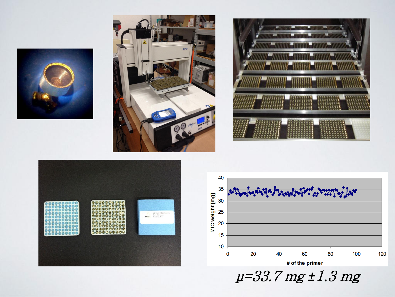









μ=33.7 mg *±*1.3 mg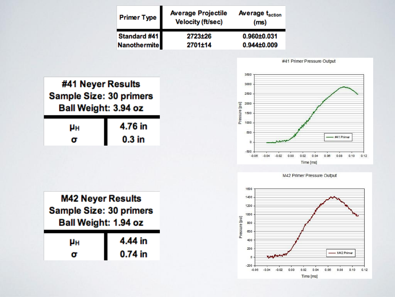| <b>Primer Type</b>   | <b>Average Projectile</b><br><b>Velocity (ft/sec)</b> | <b>Average t<sub>action</sub></b><br>(m <sub>s</sub> ) |
|----------------------|-------------------------------------------------------|--------------------------------------------------------|
| Standard #41         | 2723±26                                               | 0.960±0.031                                            |
| <b>Nanothermitel</b> | 2701±14                                               | 0.944±0.009                                            |

#41 Primer Pressure Output



| M42 Neyer Results<br><b>Sample Size: 30 primers</b><br>Ball Weight: 1.94 oz |         |  |
|-----------------------------------------------------------------------------|---------|--|
| μн                                                                          | 4.44 in |  |
|                                                                             | 0.74 in |  |





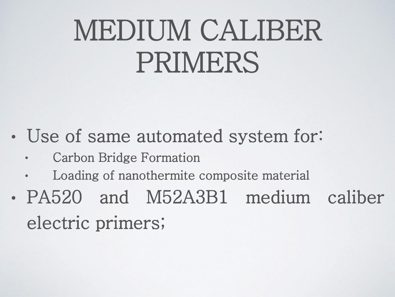#### MEDIUM CALIBER PRIMERS

- Use of same automated system for:
	- Carbon Bridge Formation
	- Loading of nanothermite composite material
- PA520 and M52A3B1 medium caliber electric primers;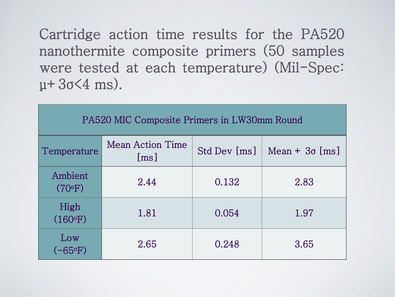Cartridge action time results for the PA520 nanothermite composite primers (50 samples were tested at each temperature) (Mil-Spec:  $\mu + 3\sigma < 4$  ms).

| PA520 MIC Composite Primers in LW30mm Round |                                               |              |                       |  |  |
|---------------------------------------------|-----------------------------------------------|--------------|-----------------------|--|--|
| Temperature                                 | <b>Mean Action Time</b><br>$\lceil ms \rceil$ | Std Dev [ms] | Mean + $3\sigma$ [ms] |  |  |
| Ambient<br>(70°F)                           | 2.44                                          | 0.132        | 2.83                  |  |  |
| High<br>(160°F)                             | 1.81                                          | 0.054        | 1.97                  |  |  |
| Low<br>$(-65^{\circ}F)$                     | 2.65                                          | 0.248        | 3.65                  |  |  |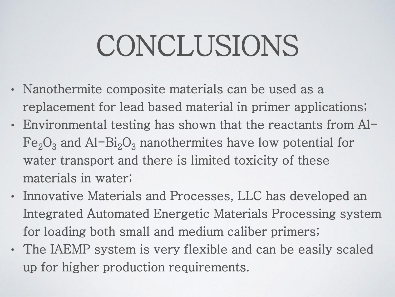#### CONCLUSIONS

- Nanothermite composite materials can be used as a replacement for lead based material in primer applications;
- Environmental testing has shown that the reactants from Al- $Fe<sub>2</sub>O<sub>3</sub>$  and Al-Bi<sub>2</sub>O<sub>3</sub> nanothermites have low potential for water transport and there is limited toxicity of these materials in water;
- Innovative Materials and Processes, LLC has developed an Integrated Automated Energetic Materials Processing system for loading both small and medium caliber primers;
- The IAEMP system is very flexible and can be easily scaled up for higher production requirements.